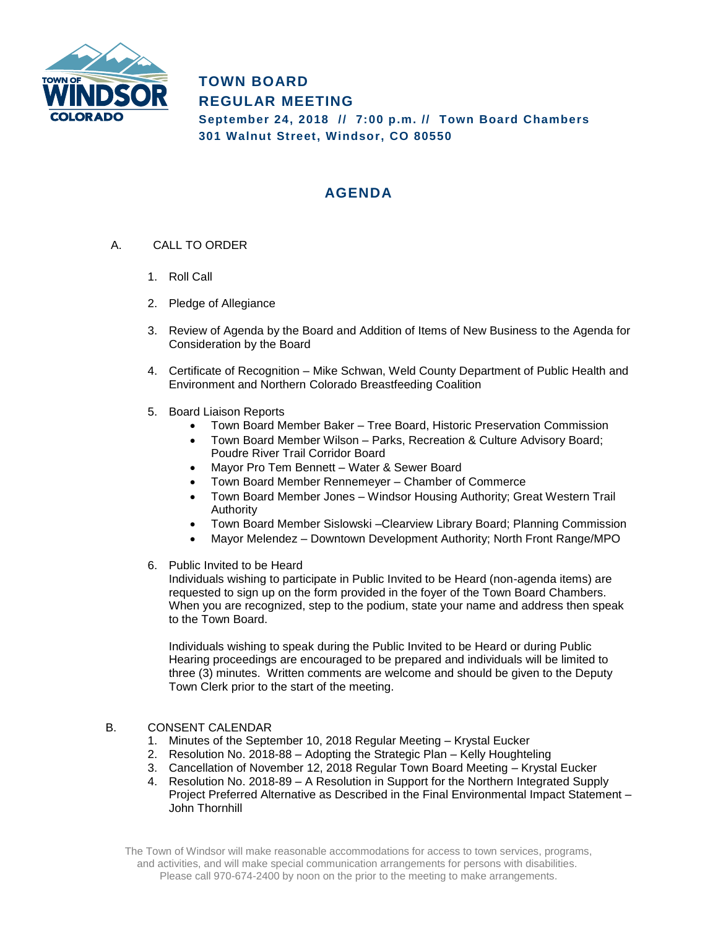

## **TOWN BOARD REGULAR MEETING September 24, 2018 // 7:00 p.m. // Town Board Chambers 301 Walnut Street, Windsor, CO 80550**

# **AGENDA**

- A. CALL TO ORDER
	- 1. Roll Call
	- 2. Pledge of Allegiance
	- 3. Review of Agenda by the Board and Addition of Items of New Business to the Agenda for Consideration by the Board
	- 4. Certificate of Recognition Mike Schwan, Weld County Department of Public Health and Environment and Northern Colorado Breastfeeding Coalition
	- 5. Board Liaison Reports
		- Town Board Member Baker Tree Board, Historic Preservation Commission
		- Town Board Member Wilson Parks, Recreation & Culture Advisory Board; Poudre River Trail Corridor Board
		- Mayor Pro Tem Bennett Water & Sewer Board
		- Town Board Member Rennemeyer Chamber of Commerce
		- Town Board Member Jones Windsor Housing Authority; Great Western Trail Authority
		- Town Board Member Sislowski –Clearview Library Board; Planning Commission
		- Mayor Melendez Downtown Development Authority; North Front Range/MPO
	- 6. Public Invited to be Heard

Individuals wishing to participate in Public Invited to be Heard (non-agenda items) are requested to sign up on the form provided in the foyer of the Town Board Chambers. When you are recognized, step to the podium, state your name and address then speak to the Town Board.

Individuals wishing to speak during the Public Invited to be Heard or during Public Hearing proceedings are encouraged to be prepared and individuals will be limited to three (3) minutes. Written comments are welcome and should be given to the Deputy Town Clerk prior to the start of the meeting.

#### B. CONSENT CALENDAR

- 1. Minutes of the September 10, 2018 Regular Meeting Krystal Eucker
- 2. Resolution No. 2018-88 Adopting the Strategic Plan Kelly Houghteling
- 3. Cancellation of November 12, 2018 Regular Town Board Meeting Krystal Eucker
- 4. Resolution No. 2018-89 A Resolution in Support for the Northern Integrated Supply Project Preferred Alternative as Described in the Final Environmental Impact Statement – John Thornhill

The Town of Windsor will make reasonable accommodations for access to town services, programs, and activities, and will make special communication arrangements for persons with disabilities. Please call 970-674-2400 by noon on the prior to the meeting to make arrangements.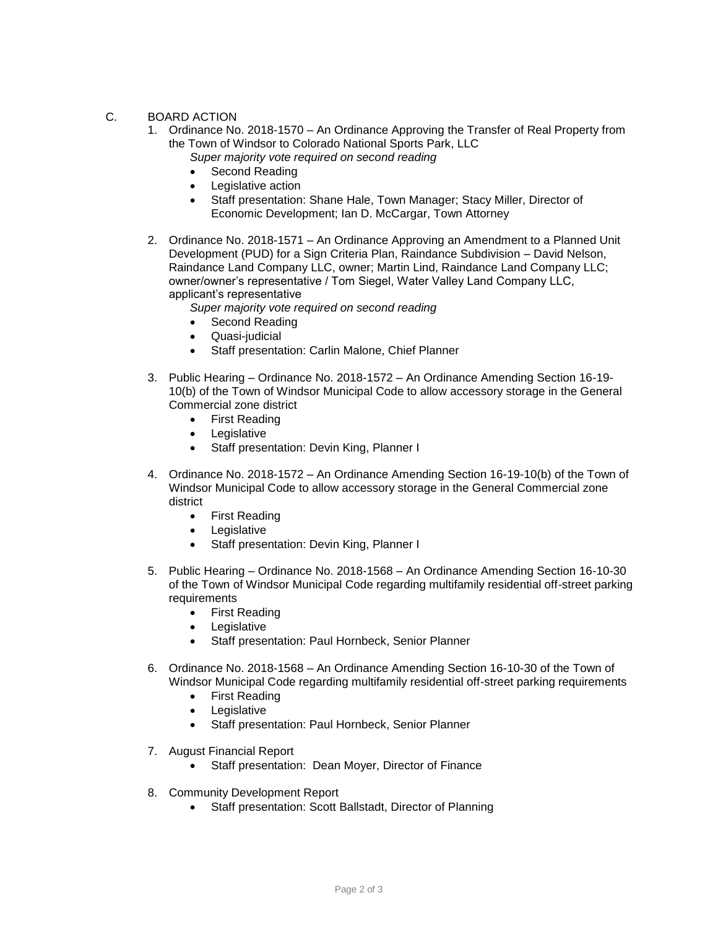#### C. BOARD ACTION

- 1. Ordinance No. 2018-1570 An Ordinance Approving the Transfer of Real Property from the Town of Windsor to Colorado National Sports Park, LLC
	- *Super majority vote required on second reading*
	- Second Reading
	- Legislative action
	- Staff presentation: Shane Hale, Town Manager; Stacy Miller, Director of Economic Development; Ian D. McCargar, Town Attorney
- 2. Ordinance No. 2018-1571 An Ordinance Approving an Amendment to a Planned Unit Development (PUD) for a Sign Criteria Plan, Raindance Subdivision – David Nelson, Raindance Land Company LLC, owner; Martin Lind, Raindance Land Company LLC; owner/owner's representative / Tom Siegel, Water Valley Land Company LLC, applicant's representative
	- *Super majority vote required on second reading*
	- Second Reading
	- Quasi-judicial
	- Staff presentation: Carlin Malone, Chief Planner
- 3. Public Hearing Ordinance No. 2018-1572 An Ordinance Amending Section 16-19- 10(b) of the Town of Windsor Municipal Code to allow accessory storage in the General Commercial zone district
	- First Reading
	- Legislative
	- Staff presentation: Devin King, Planner I
- 4. Ordinance No. 2018-1572 An Ordinance Amending Section 16-19-10(b) of the Town of Windsor Municipal Code to allow accessory storage in the General Commercial zone district
	- First Reading
	- Legislative
	- Staff presentation: Devin King, Planner I
- 5. Public Hearing Ordinance No. 2018-1568 An Ordinance Amending Section 16-10-30 of the Town of Windsor Municipal Code regarding multifamily residential off-street parking requirements
	- First Reading
	- Legislative
	- Staff presentation: Paul Hornbeck, Senior Planner
- 6. Ordinance No. 2018-1568 An Ordinance Amending Section 16-10-30 of the Town of Windsor Municipal Code regarding multifamily residential off-street parking requirements
	- First Reading
	- Legislative
	- Staff presentation: Paul Hornbeck, Senior Planner
- 7. August Financial Report
	- Staff presentation: Dean Moyer, Director of Finance
- 8. Community Development Report
	- Staff presentation: Scott Ballstadt, Director of Planning